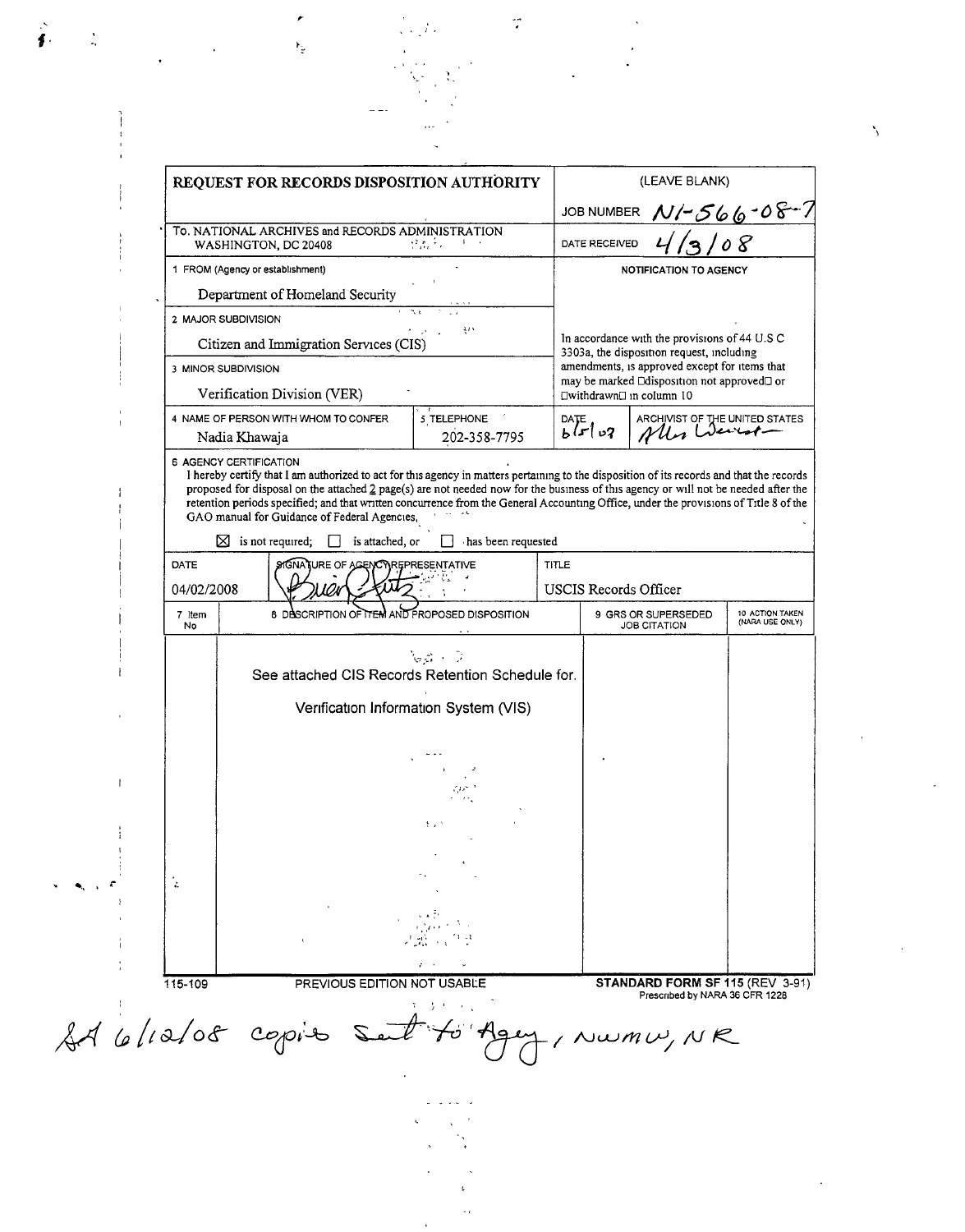| REQUEST FOR RECORDS DISPOSITION AUTHORITY                                                                                                                                                                            |                                                          |  | (LEAVE BLANK)                                         |                                            |                                    |  |                                        |          |  |                                                                                                                                                                                                                         |  |  |
|----------------------------------------------------------------------------------------------------------------------------------------------------------------------------------------------------------------------|----------------------------------------------------------|--|-------------------------------------------------------|--------------------------------------------|------------------------------------|--|----------------------------------------|----------|--|-------------------------------------------------------------------------------------------------------------------------------------------------------------------------------------------------------------------------|--|--|
|                                                                                                                                                                                                                      |                                                          |  |                                                       | JOB NUMBER N/-566-08-7                     |                                    |  |                                        |          |  |                                                                                                                                                                                                                         |  |  |
| To. NATIONAL ARCHIVES and RECORDS ADMINISTRATION<br>$\mathcal{L}(\mathcal{E}_k)$ is a set of $\mathcal{E}_k$<br>WASHINGTON, DC 20408<br>1 FROM (Agency or establishment)<br>Department of Homeland Security          |                                                          |  | o 8<br>DATE RECEIVED<br><b>NOTIFICATION TO AGENCY</b> |                                            |                                    |  |                                        |          |  |                                                                                                                                                                                                                         |  |  |
|                                                                                                                                                                                                                      |                                                          |  |                                                       |                                            |                                    |  | 2 MAJOR SUBDIVISION                    | 313      |  | In accordance with the provisions of 44 U.S.C.<br>3303a, the disposition request, including<br>amendments, is approved except for items that<br>may be marked □disposition not approved□ or<br>□withdrawn□ in column 10 |  |  |
|                                                                                                                                                                                                                      |                                                          |  |                                                       |                                            |                                    |  | Citizen and Immigration Services (CIS) | h ann an |  |                                                                                                                                                                                                                         |  |  |
| 3 MINOR SUBDIVISION                                                                                                                                                                                                  |                                                          |  |                                                       |                                            |                                    |  |                                        |          |  |                                                                                                                                                                                                                         |  |  |
| Verification Division (VER)                                                                                                                                                                                          |                                                          |  |                                                       |                                            |                                    |  |                                        |          |  |                                                                                                                                                                                                                         |  |  |
| 4 NAME OF PERSON WITH WHOM TO CONFER<br>Nadia Khawaja                                                                                                                                                                | 5 TELEPHONE<br>202-358-7795                              |  | $b^{DATE}$ وں اسو                                     | ARCHIVIST OF THE UNITED STATES             |                                    |  |                                        |          |  |                                                                                                                                                                                                                         |  |  |
| retention periods specified; and that written concurrence from the General Accounting Office, under the provisions of Title 8 of the<br>GAO manual for Guidance of Federal Agencies,<br>$\boxtimes$ is not required; | is attached, or<br>has been requested                    |  |                                                       |                                            |                                    |  |                                        |          |  |                                                                                                                                                                                                                         |  |  |
| DATE<br>04/02/2008                                                                                                                                                                                                   | SIGNATURE OF AGENCY<br>REPRESENTATIVE                    |  |                                                       | <b>TITLE</b><br>USCIS Records Officer      |                                    |  |                                        |          |  |                                                                                                                                                                                                                         |  |  |
| 7 Item<br>No                                                                                                                                                                                                         | 8 DESCRIPTION OF THEM AND PROPOSED DISPOSITION           |  |                                                       | 9 GRS OR SUPERSEDED<br><b>JOB CITATION</b> | 10 ACTION TAKEN<br>(NARA USE ONLY) |  |                                        |          |  |                                                                                                                                                                                                                         |  |  |
|                                                                                                                                                                                                                      | See attached CIS Records Retention Schedule for.         |  |                                                       |                                            |                                    |  |                                        |          |  |                                                                                                                                                                                                                         |  |  |
|                                                                                                                                                                                                                      | Verification Information System (VIS)<br>$7.05\%$<br>手上り |  |                                                       |                                            |                                    |  |                                        |          |  |                                                                                                                                                                                                                         |  |  |

 $\frac{4}{\pi}$  ).

 $\sum_{i=1}^{N} \frac{1}{i} \sum_{j=1}^{N}$ 

 $\frac{1}{2}$  .

 $\mathcal{L}_{\text{max}}$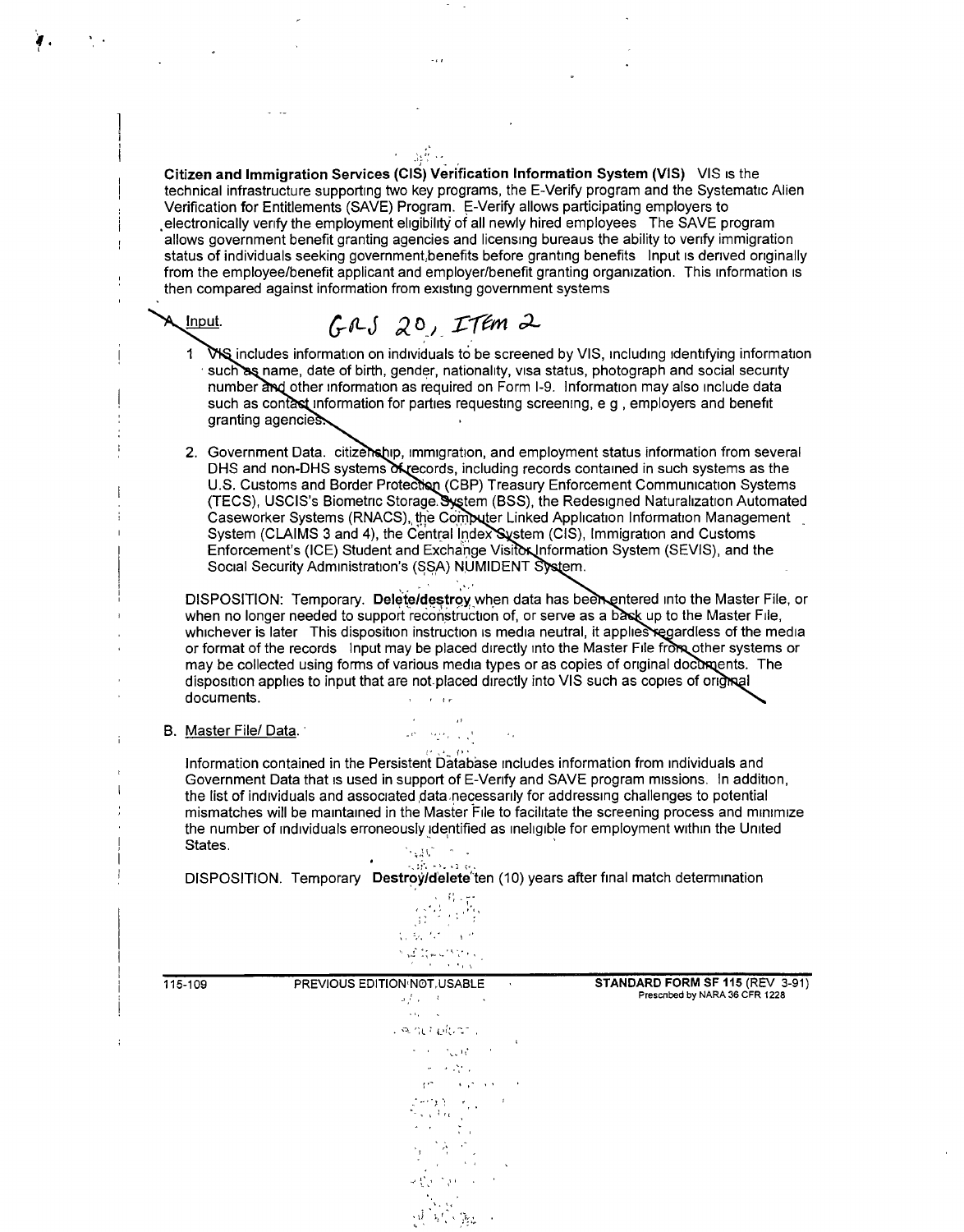| Citizen and Immigration Services (CIS) Verification Information System (VIS) VIS is the<br>technical infrastructure supporting two key programs, the E-Verify program and the Systematic Alien<br>Verification for Entitlements (SAVE) Program. E-Verify allows participating employers to<br>electronically verify the employment eligibility of all newly hired employees The SAVE program<br>allows government benefit granting agencies and licensing bureaus the ability to verify immigration<br>status of individuals seeking government, benefits before granting benefits  nput is derived originally<br>from the employee/benefit applicant and employer/benefit granting organization. This information is<br>then compared against information from existing government systems |
|---------------------------------------------------------------------------------------------------------------------------------------------------------------------------------------------------------------------------------------------------------------------------------------------------------------------------------------------------------------------------------------------------------------------------------------------------------------------------------------------------------------------------------------------------------------------------------------------------------------------------------------------------------------------------------------------------------------------------------------------------------------------------------------------|
| $GAS$ 20, ITEM 2<br><u>, Input</u> .                                                                                                                                                                                                                                                                                                                                                                                                                                                                                                                                                                                                                                                                                                                                                        |
| WS includes information on individuals to be screened by VIS, including identifying information<br>such as name, date of birth, gender, nationality, visa status, photograph and social security<br>number and other information as required on Form I-9. Information may also include data<br>such as contast information for parties requesting screening, e g, employers and benefit<br>granting agencies.                                                                                                                                                                                                                                                                                                                                                                               |
| 2. Government Data. citizenship, immigration, and employment status information from several<br>DHS and non-DHS systems of records, including records contained in such systems as the<br>U.S. Customs and Border Protection (CBP) Treasury Enforcement Communication Systems<br>(TECS), USCIS's Biometric Storage. System (BSS), the Redesigned Naturalization Automated<br>Caseworker Systems (RNACS), the Computer Linked Application Information Management<br>System (CLAIMS 3 and 4), the Central Index System (CIS), Immigration and Customs<br>Enforcement's (ICE) Student and Exchange Visitor Information System (SEVIS), and the<br>Social Security Administration's (SSA) NUMIDENT System.                                                                                      |
| DISPOSITION: Temporary. Delete/destroy when data has been entered into the Master File, or<br>when no longer needed to support reconstruction of, or serve as a bask up to the Master File,<br>whichever is later This disposition instruction is media neutral, it applies regardless of the media<br>or format of the records Input may be placed directly into the Master File from other systems or<br>may be collected using forms of various media types or as copies of original documents. The<br>disposition applies to input that are not placed directly into VIS such as copies of original<br>documents.                                                                                                                                                                       |
| B. Master File/Data.<br><b>Contractor</b> Contractor                                                                                                                                                                                                                                                                                                                                                                                                                                                                                                                                                                                                                                                                                                                                        |
| Information contained in the Persistent Database includes information from individuals and                                                                                                                                                                                                                                                                                                                                                                                                                                                                                                                                                                                                                                                                                                  |

 $\sim$   $\sim$ 

 $\overline{a}$ 

 $\mathbf{I}$ 

÷

Government Data that is used in support of E-Verify and SAVE program missions. In addition, the list of individuals and associated data necessarily for addressing challenges to potential mismatches will be maintained in the Master File to facilitate the screening process and minimize the number of individuals erroneously identified as ineligible for employment within the United States.

States.<br>DISPOSITION. Temporary Destroy/delete ten (10) years after final match determination

|         | $\frac{1}{\left( \mathbb{S}^{1/2} \right)^{\frac{p}{2} + \frac{p}{2} + \frac{p}{2} + \frac{p}{2} + \frac{p}{2} + \frac{p}{2} + \frac{p}{2} + \frac{p}{2} + \frac{p}{2} + \frac{p}{2} + \frac{p}{2} + \frac{p}{2} + \frac{p}{2} + \frac{p}{2} + \frac{p}{2} + \frac{p}{2} + \frac{p}{2} + \frac{p}{2} + \frac{p}{2} + \frac{p}{2} + \frac{p}{2} + \frac{p}{2} + \frac{p}{2} + \frac{p}{2} + \frac{p}{2$<br>もあな いぜ<br>$\mathcal{H}_{\mathcal{M}}\sum_{\mathcal{P}}\sum_{\mathcal{P}}\mathbf{w}_{\mathcal{P}}\mathbf{w}_{\mathcal{P}}^{\mathcal{P}}\mathbf{W}_{\mathcal{P}}^{\mathcal{P}}\mathbf{w}_{\mathcal{P}}^{\mathcal{P}}$ |                                                                   |
|---------|-------------------------------------------------------------------------------------------------------------------------------------------------------------------------------------------------------------------------------------------------------------------------------------------------------------------------------------------------------------------------------------------------------------------------------------------------------------------------------------------------------------------------------------------------------------------------------------------------------------------------------|-------------------------------------------------------------------|
| 115-109 | PREVIOUS EDITION NOT, USABLE<br>$\mathcal{A}$<br>$\mathcal{L}_{\mathcal{E}}(x) = 0$<br><b>Contractor</b><br>$\mathbf{v}_1\mathbf{t}_2\mathbf{v}_2\mathbf{v}_3\mathbf{v}_4$                                                                                                                                                                                                                                                                                                                                                                                                                                                    | STANDARD FORM SF 115 (REV 3-91)<br>Prescribed by NARA 36 CFR 1228 |
|         | Lead blues.                                                                                                                                                                                                                                                                                                                                                                                                                                                                                                                                                                                                                   |                                                                   |
|         | $\mathbf{r}$<br>$\tau \rightarrow -\tau_{\rm tot} \eta \tau \rightarrow \tau$                                                                                                                                                                                                                                                                                                                                                                                                                                                                                                                                                 |                                                                   |
|         | 医牙骨尖<br>get the scale was con-                                                                                                                                                                                                                                                                                                                                                                                                                                                                                                                                                                                                |                                                                   |
|         | $\sum_{\tau = \tau}^{n} \frac{ \tau^{\tau}(\tau)}{ \tau^{\tau}(\tau)} \sum_{\tau = \tau}^{n} \frac{ \tau^{\tau}(\tau)}{ \tau^{\tau}(\tau)} \leq \frac{1}{\tau} \sum_{\tau = \tau}^{n} \frac{ \tau^{\tau}(\tau)}{ \tau^{\tau}(\tau)} \leq \frac{1}{\tau}$                                                                                                                                                                                                                                                                                                                                                                      |                                                                   |
|         | $\gamma$ , $\gamma$<br>$\sim$ $\sim$ $\sim$                                                                                                                                                                                                                                                                                                                                                                                                                                                                                                                                                                                   |                                                                   |
|         | $\frac{1}{2} \sum_{i=1}^{n} \frac{1}{2} \sum_{j=1}^{n} \frac{1}{2} \sum_{j=1}^{n} \frac{1}{2} \sum_{j=1}^{n} \frac{1}{2} \sum_{j=1}^{n} \frac{1}{2} \sum_{j=1}^{n} \frac{1}{2} \sum_{j=1}^{n} \frac{1}{2} \sum_{j=1}^{n} \frac{1}{2} \sum_{j=1}^{n} \frac{1}{2} \sum_{j=1}^{n} \frac{1}{2} \sum_{j=1}^{n} \frac{1}{2} \sum_{j=1}^{n} \frac{1}{2} \sum_{j=1}^{n$                                                                                                                                                                                                                                                               |                                                                   |
|         | 安装的第三人称单                                                                                                                                                                                                                                                                                                                                                                                                                                                                                                                                                                                                                      |                                                                   |
|         | 展 居り難し                                                                                                                                                                                                                                                                                                                                                                                                                                                                                                                                                                                                                        |                                                                   |